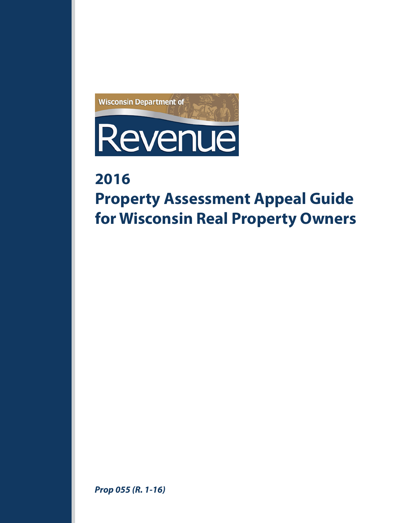

# **2016**

# **Property Assessment Appeal Guide for Wisconsin Real Property Owners**

*Prop 055 (R. 1-16)*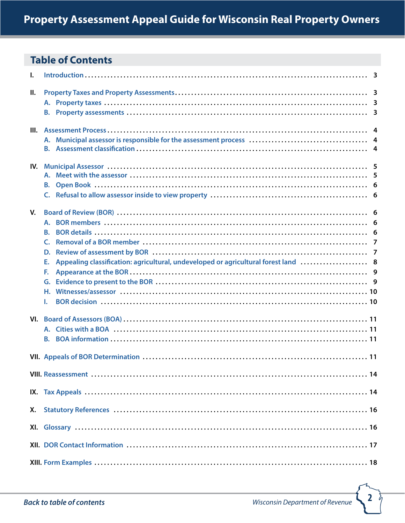# <span id="page-1-0"></span>**Table of Contents**

| I.  |                                                                                          |  |
|-----|------------------------------------------------------------------------------------------|--|
| Ш.  |                                                                                          |  |
|     |                                                                                          |  |
|     |                                                                                          |  |
|     |                                                                                          |  |
|     |                                                                                          |  |
|     |                                                                                          |  |
|     |                                                                                          |  |
|     |                                                                                          |  |
| IV. |                                                                                          |  |
|     |                                                                                          |  |
|     |                                                                                          |  |
|     |                                                                                          |  |
| V.  |                                                                                          |  |
|     |                                                                                          |  |
|     | <b>B.</b>                                                                                |  |
|     | C.                                                                                       |  |
|     | D.                                                                                       |  |
|     |                                                                                          |  |
|     | Appealing classification: agricultural, undeveloped or agricultural forest land  8<br>Е. |  |
|     | F.                                                                                       |  |
|     | G.                                                                                       |  |
|     | н.                                                                                       |  |
|     | ı.                                                                                       |  |
|     |                                                                                          |  |
|     | A. Cities with a BOA ……………………………………………………………………………………… 11                                |  |
|     | <b>B.</b>                                                                                |  |
|     |                                                                                          |  |
|     |                                                                                          |  |
|     |                                                                                          |  |
|     |                                                                                          |  |
|     |                                                                                          |  |
|     |                                                                                          |  |
| Х.  |                                                                                          |  |
|     |                                                                                          |  |
|     |                                                                                          |  |
|     |                                                                                          |  |
|     |                                                                                          |  |
|     |                                                                                          |  |

<u>In</u>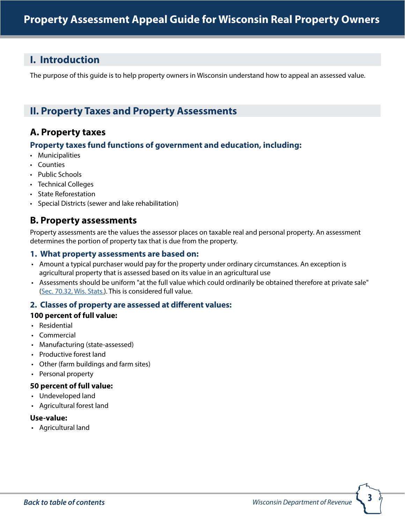# <span id="page-2-0"></span>**I. Introduction**

The purpose of this guide is to help property owners in Wisconsin understand how to appeal an assessed value.

# **II. Property Taxes and Property Assessments**

# **A. Property taxes**

#### **Property taxes fund functions of government and education, including:**

- Municipalities
- Counties
- Public Schools
- Technical Colleges
- State Reforestation
- Special Districts (sewer and lake rehabilitation)

# **B. Property assessments**

Property assessments are the values the assessor places on taxable real and personal property. An assessment determines the portion of property tax that is due from the property.

#### **1. What property assessments are based on:**

- Amount a typical purchaser would pay for the property under ordinary circumstances. An exception is agricultural property that is assessed based on its value in an agricultural use
- Assessments should be uniform "at the full value which could ordinarily be obtained therefore at private sale" ([Sec. 70.32, Wis. Stats.](http://docs.legis.wisconsin.gov/statutes/statutes/70/32)). This is considered full value.

#### **2. Classes of property are assessed at different values:**

#### **100 percent of full value:**

- Residential
- Commercial
- Manufacturing (state-assessed)
- Productive forest land
- Other (farm buildings and farm sites)
- Personal property

#### **50 percent of full value:**

- Undeveloped land
- Agricultural forest land

#### **Use-value:**

• Agricultural land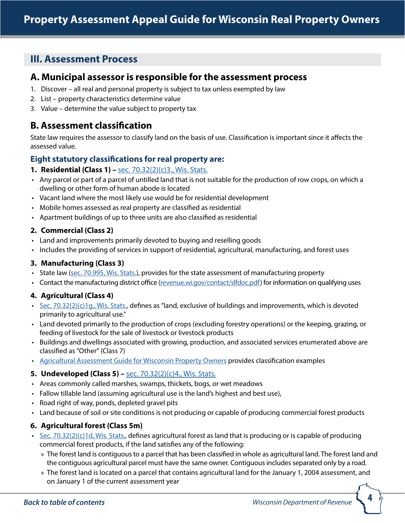# <span id="page-3-0"></span>**III. Assessment Process**

### **A. Municipal assessor is responsible for the assessment process**

- 1. Discover all real and personal property is subject to tax unless exempted by law
- 2. List property characteristics determine value
- 3. Value determine the value subject to property tax

# **B. Assessment classification**

State law requires the assessor to classify land on the basis of use. Classification is important since it affects the assessed value.

#### **Eight statutory classifications for real property are:**

#### **1. Residential (Class 1) –** [sec. 70.32\(2\)\(c\)3., Wis. Stats.](http://docs.legis.wisconsin.gov/statutes/statutes/70/32/2/c/3)

- Any parcel or part of a parcel of untilled land that is not suitable for the production of row crops, on which a dwelling or other form of human abode is located
- Vacant land where the most likely use would be for residential development
- Mobile homes assessed as real property are classified as residential
- Apartment buildings of up to three units are also classified as residential

#### **2. Commercial (Class 2)**

- Land and improvements primarily devoted to buying and reselling goods
- Includes the providing of services in support of residential, agricultural, manufacturing, and forest uses

#### **3. Manufacturing (Class 3)**

- State law [\(sec. 70.995, Wis. Stats.](http://docs.legis.wisconsin.gov/statutes/statutes/70/995)), provides for the state assessment of manufacturing property
- Contact the manufacturing district office ([revenue.wi.gov/contact/slfdoc.pdf](http://www.revenue.wi.gov/contact/slfdoc.pdf)) for information on qualifying uses

#### **4. Agricultural (Class 4)**

- [Sec. 70.32\(2\)\(c\)1g., Wis. Stats.](http://docs.legis.wisconsin.gov/statutes/statutes/70/32/2/c/1g), defines as "land, exclusive of buildings and improvements, which is devoted primarily to agricultural use."
- Land devoted primarily to the production of crops (excluding forestry operations) or the keeping, grazing, or feeding of livestock for the sale of livestock or livestock products
- Buildings and dwellings associated with growing, production, and associated services enumerated above are classified as "Other" (Class 7)
- [Agricultural Assessment Guide](http://www.revenue.wi.gov/html/govpub.html#manufacturing) for Wisconsin Property Owners provides classification examples

#### **5. Undeveloped (Class 5) –** [sec. 70.32\(2\)\(c\)4., Wis. Stats.](http://docs.legis.wisconsin.gov/statutes/statutes/70/32/2/c/4)

- Areas commonly called marshes, swamps, thickets, bogs, or wet meadows
- Fallow tillable land (assuming agricultural use is the land's highest and best use),
- Road right of way, ponds, depleted gravel pits
- Land because of soil or site conditions is not producing or capable of producing commercial forest products

#### **6. Agricultural forest (Class 5m)**

- [Sec. 70.32\(2\)\(c\)1d, Wis. Stats.](http://docs.legis.wisconsin.gov/statutes/statutes/70/32/2/c/1d), defines agricultural forest as land that is producing or is capable of producing commercial forest products, if the land satisfies any of the following:
	- » The forest land is contiguous to a parcel that has been classified in whole as agricultural land. The forest land and the contiguous agricultural parcel must have the same owner. Contiguous includes separated only by a road.
	- » The forest land is located on a parcel that contains agricultural land for the January 1, 2004 assessment, and on January 1 of the current assessment year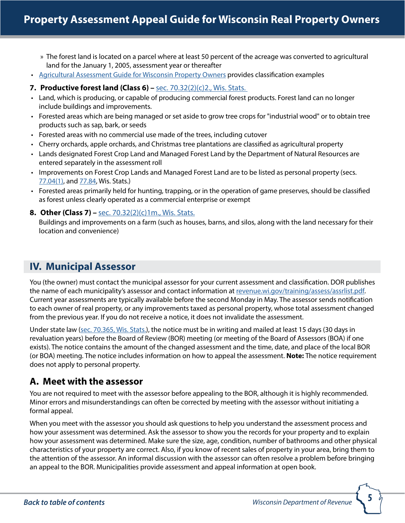- <span id="page-4-0"></span>» The forest land is located on a parcel where at least 50 percent of the acreage was converted to agricultural land for the January 1, 2005, assessment year or thereafter
- [Agricultural Assessment Guide](http://www.revenue.wi.gov/html/govpub.html#manufacturing) for Wisconsin Property Owners provides classification examples

#### **7. Productive forest land (Class 6) –** [sec. 70.32\(2\)\(c\)2., Wis. Stats.](http://docs.legis.wisconsin.gov/statutes/statutes/70/32/2/c/2)

- Land, which is producing, or capable of producing commercial forest products. Forest land can no longer include buildings and improvements.
- Forested areas which are being managed or set aside to grow tree crops for "industrial wood" or to obtain tree products such as sap, bark, or seeds
- Forested areas with no commercial use made of the trees, including cutover
- Cherry orchards, apple orchards, and Christmas tree plantations are classified as agricultural property
- Lands designated Forest Crop Land and Managed Forest Land by the Department of Natural Resources are entered separately in the assessment roll
- Improvements on Forest Crop Lands and Managed Forest Land are to be listed as personal property (secs. [77.04\(1\),](http://docs.legis.wisconsin.gov/statutes/statutes/77/I/04/1) and [77.84](http://docs.legis.wisconsin.gov/statutes/statutes/77/VI/84), Wis. Stats.)
- Forested areas primarily held for hunting, trapping, or in the operation of game preserves, should be classified as forest unless clearly operated as a commercial enterprise or exempt
- **8. Other (Class 7)** [sec. 70.32\(2\)\(c\)1m., Wis. Stats.](http://docs.legis.wisconsin.gov/statutes/statutes/70/32/2/c/1m)

Buildings and improvements on a farm (such as houses, barns, and silos, along with the land necessary for their location and convenience)

# **IV. Municipal Assessor**

You (the owner) must contact the municipal assessor for your current assessment and classification. DOR publishes the name of each municipality's assessor and contact information at [revenue.wi.gov/training/assess/assrlist.pdf](http://www.revenue.wi.gov/training/assess/assrlist.pdf). Current year assessments are typically available before the second Monday in May. The assessor sends notification to each owner of real property, or any improvements taxed as personal property, whose total assessment changed from the previous year. If you do not receive a notice, it does not invalidate the assessment.

Under state law ([sec. 70.365, Wis. Stats.\)](http://docs.legis.wisconsin.gov/statutes/statutes/70/365), the notice must be in writing and mailed at least 15 days (30 days in revaluation years) before the Board of Review (BOR) meeting (or meeting of the Board of Assessors (BOA) if one exists). The notice contains the amount of the changed assessment and the time, date, and place of the local BOR (or BOA) meeting. The notice includes information on how to appeal the assessment. **Note:** The notice requirement does not apply to personal property.

# **A. Meet with the assessor**

You are not required to meet with the assessor before appealing to the BOR, although it is highly recommended. Minor errors and misunderstandings can often be corrected by meeting with the assessor without initiating a formal appeal.

When you meet with the assessor you should ask questions to help you understand the assessment process and how your assessment was determined. Ask the assessor to show you the records for your property and to explain how your assessment was determined. Make sure the size, age, condition, number of bathrooms and other physical characteristics of your property are correct. Also, if you know of recent sales of property in your area, bring them to the attention of the assessor. An informal discussion with the assessor can often resolve a problem before bringing an appeal to the BOR. Municipalities provide assessment and appeal information at open book.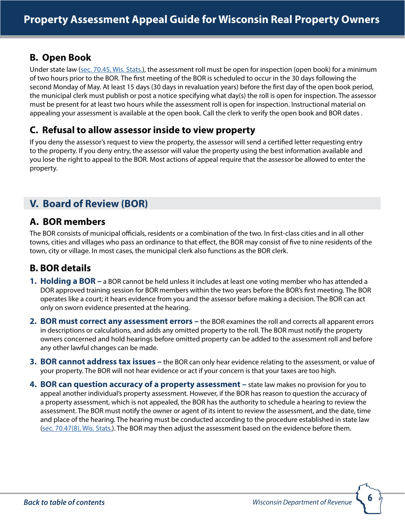# <span id="page-5-0"></span>**B. Open Book**

Under state law ([sec. 70.45, Wis. Stats.](http://docs.legis.wisconsin.gov/statutes/statutes/70/45)), the assessment roll must be open for inspection (open book) for a minimum of two hours prior to the BOR. The first meeting of the BOR is scheduled to occur in the 30 days following the second Monday of May. At least 15 days (30 days in revaluation years) before the first day of the open book period, the municipal clerk must publish or post a notice specifying what day(s) the roll is open for inspection. The assessor must be present for at least two hours while the assessment roll is open for inspection. Instructional material on appealing your assessment is available at the open book. Call the clerk to verify the open book and BOR dates .

# **C. Refusal to allow assessor inside to view property**

If you deny the assessor's request to view the property, the assessor will send a certified letter requesting entry to the property. If you deny entry, the assessor will value the property using the best information available and you lose the right to appeal to the BOR. Most actions of appeal require that the assessor be allowed to enter the property.

# **V. Board of Review (BOR)**

### **A. BOR members**

The BOR consists of municipal officials, residents or a combination of the two. In first-class cities and in all other towns, cities and villages who pass an ordinance to that effect, the BOR may consist of five to nine residents of the town, city or village. In most cases, the municipal clerk also functions as the BOR clerk.

# **B. BOR details**

- **1. Holding a BOR –** a BOR cannot be held unless it includes at least one voting member who has attended a DOR approved training session for BOR members within the two years before the BOR's first meeting. The BOR operates like a court; it hears evidence from you and the assessor before making a decision. The BOR can act only on sworn evidence presented at the hearing.
- **2. BOR must correct any assessment errors –** the BOR examines the roll and corrects all apparent errors in descriptions or calculations, and adds any omitted property to the roll. The BOR must notify the property owners concerned and hold hearings before omitted property can be added to the assessment roll and before any other lawful changes can be made.
- **3. BOR cannot address tax issues –** the BOR can only hear evidence relating to the assessment, or value of your property. The BOR will not hear evidence or act if your concern is that your taxes are too high.
- **4. BOR can question accuracy of a property assessment –** state law makes no provision for you to appeal another individual's property assessment. However, if the BOR has reason to question the accuracy of a property assessment, which is not appealed, the BOR has the authority to schedule a hearing to review the assessment. The BOR must notify the owner or agent of its intent to review the assessment, and the date, time and place of the hearing. The hearing must be conducted according to the procedure established in state law [\(sec. 70.47\(8\), Wis. Stats.](http://docs.legis.wisconsin.gov/statutes/statutes/70/47/8)). The BOR may then adjust the assessment based on the evidence before them.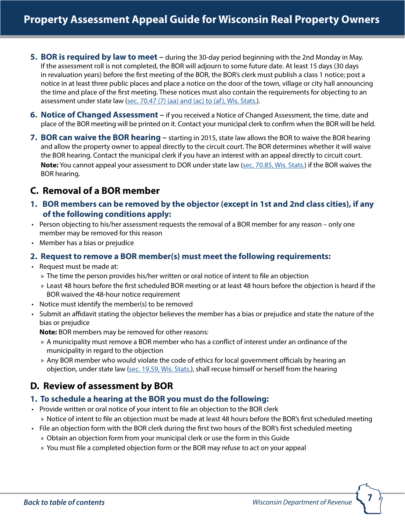- <span id="page-6-0"></span>**5. BOR is required by law to meet –** during the 30-day period beginning with the 2nd Monday in May. If the assessment roll is not completed, the BOR will adjourn to some future date. At least 15 days (30 days in revaluation years) before the first meeting of the BOR, the BOR's clerk must publish a class 1 notice; post a notice in at least three public places and place a notice on the door of the town, village or city hall announcing the time and place of the first meeting. These notices must also contain the requirements for objecting to an assessment under state law ([sec. 70.47 \(7\) \(aa\) and \(ac\) to \(af\), Wis. Stats.](http://docs.legis.wisconsin.gov/statutes/statutes/70/47/7/aa)).
- **6. Notice of Changed Assessment –** if you received a Notice of Changed Assessment, the time, date and place of the BOR meeting will be printed on it. Contact your municipal clerk to confirm when the BOR will be held.
- **7. BOR can waive the BOR hearing –** starting in 2015, state law allows the BOR to waive the BOR hearing and allow the property owner to appeal directly to the circuit court. The BOR determines whether it will waive the BOR hearing. Contact the municipal clerk if you have an interest with an appeal directly to circuit court. **Note:** You cannot appeal your assessment to DOR under state law [\(sec. 70.85, Wis. Stats.](http://docs.legis.wisconsin.gov/statutes/statutes/70/85)) if the BOR waives the BOR hearing.

### **C. Removal of a BOR member**

- **1. BOR members can be removed by the objector (except in 1st and 2nd class cities), if any of the following conditions apply:**
- Person objecting to his/her assessment requests the removal of a BOR member for any reason only one member may be removed for this reason
- Member has a bias or prejudice

#### **2. Request to remove a BOR member(s) must meet the following requirements:**

- Request must be made at:
	- » The time the person provides his/her written or oral notice of intent to file an objection
	- » Least 48 hours before the first scheduled BOR meeting or at least 48 hours before the objection is heard if the BOR waived the 48-hour notice requirement
- Notice must identify the member(s) to be removed
- Submit an affidavit stating the objector believes the member has a bias or prejudice and state the nature of the bias or prejudice

**Note:** BOR members may be removed for other reasons:

- » A municipality must remove a BOR member who has a conflict of interest under an ordinance of the municipality in regard to the objection
- » Any BOR member who would violate the code of ethics for local government officials by hearing an objection, under state law [\(sec. 19.59, Wis. Stats.](http://docs.legis.wisconsin.gov/statutes/statutes/19/III/59)), shall recuse himself or herself from the hearing

# **D. Review of assessment by BOR**

#### **1. To schedule a hearing at the BOR you must do the following:**

- Provide written or oral notice of your intent to file an objection to the BOR clerk
	- » Notice of intent to file an objection must be made at least 48 hours before the BOR's first scheduled meeting
- File an objection form with the BOR clerk during the first two hours of the BOR's first scheduled meeting
	- » Obtain an objection form from your municipal clerk or use the form in this Guide
	- » You must file a completed objection form or the BOR may refuse to act on your appeal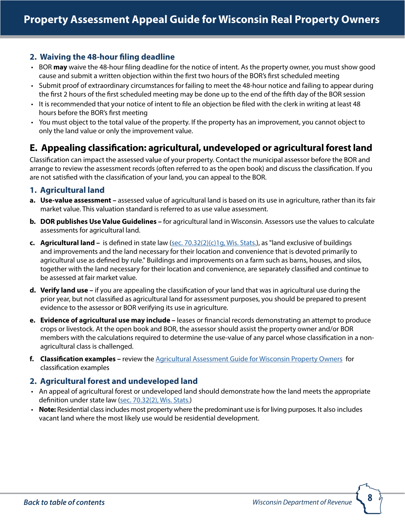#### <span id="page-7-0"></span>**2. Waiving the 48-hour filing deadline**

- BOR **may** waive the 48-hour filing deadline for the notice of intent. As the property owner, you must show good cause and submit a written objection within the first two hours of the BOR's first scheduled meeting
- Submit proof of extraordinary circumstances for failing to meet the 48-hour notice and failing to appear during the first 2 hours of the first scheduled meeting may be done up to the end of the fifth day of the BOR session
- It is recommended that your notice of intent to file an objection be filed with the clerk in writing at least 48 hours before the BOR's first meeting
- You must object to the total value of the property. If the property has an improvement, you cannot object to only the land value or only the improvement value.

# **E. Appealing classification: agricultural, undeveloped or agricultural forest land**

Classification can impact the assessed value of your property. Contact the municipal assessor before the BOR and arrange to review the assessment records (often referred to as the open book) and discuss the classification. If you are not satisfied with the classification of your land, you can appeal to the BOR.

#### **1. Agricultural land**

- **a. Use-value assessment –** assessed value of agricultural land is based on its use in agriculture, rather than its fair market value. This valuation standard is referred to as use value assessment.
- **b. DOR publishes Use Value Guidelines** for agricultural land in Wisconsin. Assessors use the values to calculate assessments for agricultural land.
- **c. Agricultural land** is defined in state law ([sec. 70.32\(2\)\(c\)1g, Wis. Stats.\)](http://docs.legis.wisconsin.gov/statutes/statutes/70/32/2/c/1g), as "land exclusive of buildings and improvements and the land necessary for their location and convenience that is devoted primarily to agricultural use as defined by rule." Buildings and improvements on a farm such as barns, houses, and silos, together with the land necessary for their location and convenience, are separately classified and continue to be assessed at fair market value.
- **d. Verify land use –** if you are appealing the classification of your land that was in agricultural use during the prior year, but not classified as agricultural land for assessment purposes, you should be prepared to present evidence to the assessor or BOR verifying its use in agriculture.
- **e. Evidence of agricultural use may include –** leases or financial records demonstrating an attempt to produce crops or livestock. At the open book and BOR, the assessor should assist the property owner and/or BOR members with the calculations required to determine the use-value of any parcel whose classification in a nonagricultural class is challenged.
- **f. Classification examples –** review the [Agricultural Assessment Guide](http://www.revenue.wi.gov/html/govpub.html#manufacturing) for Wisconsin Property Owners for classification examples

#### **2. Agricultural forest and undeveloped land**

- An appeal of agricultural forest or undeveloped land should demonstrate how the land meets the appropriate definition under state law ([sec. 70.32\(2\), Wis. Stats.\)](http://docs.legis.wisconsin.gov/statutes/statutes/70/32/2/)
- **Note:** Residential class includes most property where the predominant use is for living purposes. It also includes vacant land where the most likely use would be residential development.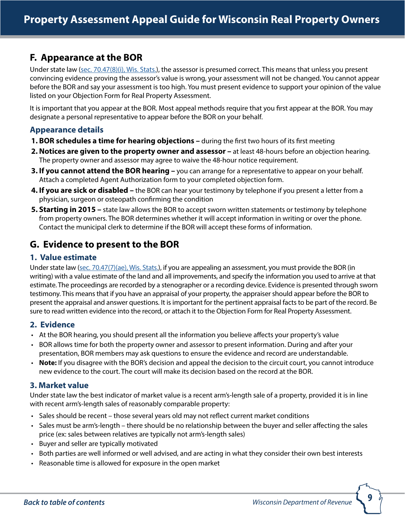# <span id="page-8-0"></span>**F. Appearance at the BOR**

Under state law [\(sec. 70.47\(8\)\(i\), Wis. Stats.](http://docs.legis.wisconsin.gov/statutes/statutes/70/47/8/i)), the assessor is presumed correct. This means that unless you present convincing evidence proving the assessor's value is wrong, your assessment will not be changed. You cannot appear before the BOR and say your assessment is too high. You must present evidence to support your opinion of the value listed on your Objection Form for Real Property Assessment.

It is important that you appear at the BOR. Most appeal methods require that you first appear at the BOR. You may designate a personal representative to appear before the BOR on your behalf.

### **Appearance details**

- **1. BOR schedules a time for hearing objections –** during the first two hours of its first meeting
- **2. Notices are given to the property owner and assessor** at least 48-hours before an objection hearing. The property owner and assessor may agree to waive the 48-hour notice requirement.
- **3. If you cannot attend the BOR hearing –** you can arrange for a representative to appear on your behalf. Attach a completed Agent Authorization form to your completed objection form.
- **4. If you are sick or disabled –** the BOR can hear your testimony by telephone if you present a letter from a physician, surgeon or osteopath confirming the condition
- **5. Starting in 2015 –** state law allows the BOR to accept sworn written statements or testimony by telephone from property owners. The BOR determines whether it will accept information in writing or over the phone. Contact the municipal clerk to determine if the BOR will accept these forms of information.

# **G. Evidence to present to the BOR**

#### **1. Value estimate**

Under state law [\(sec. 70.47\(7\)\(ae\), Wis. Stats.](http://docs.legis.wisconsin.gov/statutes/statutes/70/47/7/ae)), if you are appealing an assessment, you must provide the BOR (in writing) with a value estimate of the land and all improvements, and specify the information you used to arrive at that estimate. The proceedings are recorded by a stenographer or a recording device. Evidence is presented through sworn testimony. This means that if you have an appraisal of your property, the appraiser should appear before the BOR to present the appraisal and answer questions. It is important for the pertinent appraisal facts to be part of the record. Be sure to read written evidence into the record, or attach it to the Objection Form for Real Property Assessment.

#### **2. Evidence**

- At the BOR hearing, you should present all the information you believe affects your property's value
- BOR allows time for both the property owner and assessor to present information. During and after your presentation, BOR members may ask questions to ensure the evidence and record are understandable.
- **Note:** If you disagree with the BOR's decision and appeal the decision to the circuit court, you cannot introduce new evidence to the court. The court will make its decision based on the record at the BOR.

#### **3. Market value**

Under state law the best indicator of market value is a recent arm's-length sale of a property, provided it is in line with recent arm's-length sales of reasonably comparable property:

- Sales should be recent those several years old may not reflect current market conditions
- Sales must be arm's-length there should be no relationship between the buyer and seller affecting the sales price (ex: sales between relatives are typically not arm's-length sales)
- Buyer and seller are typically motivated
- Both parties are well informed or well advised, and are acting in what they consider their own best interests
- Reasonable time is allowed for exposure in the open market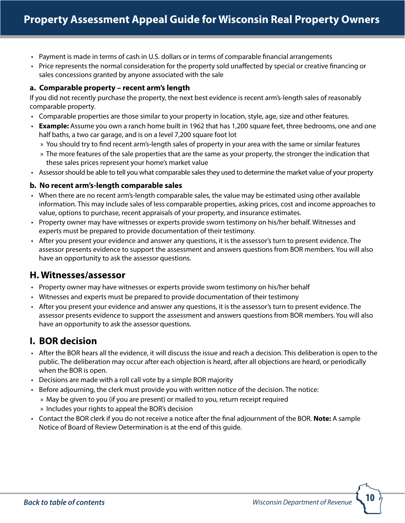- <span id="page-9-0"></span>• Payment is made in terms of cash in U.S. dollars or in terms of comparable financial arrangements
- Price represents the normal consideration for the property sold unaffected by special or creative financing or sales concessions granted by anyone associated with the sale

#### **a. Comparable property – recent arm's length**

If you did not recently purchase the property, the next best evidence is recent arm's-length sales of reasonably comparable property.

- Comparable properties are those similar to your property in location, style, age, size and other features.
- **Example:** Assume you own a ranch home built in 1962 that has 1,200 square feet, three bedrooms, one and one half baths, a two car garage, and is on a level 7,200 square foot lot
	- » You should try to find recent arm's-length sales of property in your area with the same or similar features
	- » The more features of the sale properties that are the same as your property, the stronger the indication that these sales prices represent your home's market value
- Assessor should be able to tell you what comparable sales they used to determine the market value of your property

#### **b. No recent arm's-length comparable sales**

- When there are no recent arm's-length comparable sales, the value may be estimated using other available information. This may include sales of less comparable properties, asking prices, cost and income approaches to value, options to purchase, recent appraisals of your property, and insurance estimates.
- Property owner may have witnesses or experts provide sworn testimony on his/her behalf. Witnesses and experts must be prepared to provide documentation of their testimony.
- After you present your evidence and answer any questions, it is the assessor's turn to present evidence. The assessor presents evidence to support the assessment and answers questions from BOR members. You will also have an opportunity to ask the assessor questions.

### **H. Witnesses/assessor**

- Property owner may have witnesses or experts provide sworn testimony on his/her behalf
- Witnesses and experts must be prepared to provide documentation of their testimony
- After you present your evidence and answer any questions, it is the assessor's turn to present evidence. The assessor presents evidence to support the assessment and answers questions from BOR members. You will also have an opportunity to ask the assessor questions.

# **I. BOR decision**

- After the BOR hears all the evidence, it will discuss the issue and reach a decision. This deliberation is open to the public. The deliberation may occur after each objection is heard, after all objections are heard, or periodically when the BOR is open.
- Decisions are made with a roll call vote by a simple BOR majority
- Before adjourning, the clerk must provide you with written notice of the decision. The notice:
	- » May be given to you (if you are present) or mailed to you, return receipt required
	- » Includes your rights to appeal the BOR's decision
- Contact the BOR clerk if you do not receive a notice after the final adjournment of the BOR. **Note:** A sample Notice of Board of Review Determination is at the end of this guide.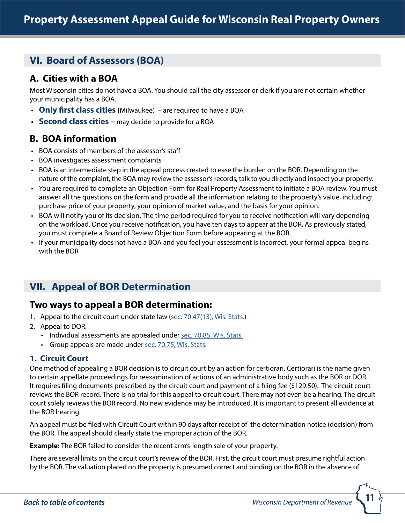# <span id="page-10-0"></span>**VI. Board of Assessors (BOA)**

# **A. Cities with a BOA**

Most Wisconsin cities do not have a BOA. You should call the city assessor or clerk if you are not certain whether your municipality has a BOA.

- **Only first class cities (**Milwaukee) are required to have a BOA
- **Second class cities –** may decide to provide for a BOA

# **B. BOA information**

- BOA consists of members of the assessor's staff
- BOA investigates assessment complaints
- BOA is an intermediate step in the appeal process created to ease the burden on the BOR. Depending on the nature of the complaint, the BOA may review the assessor's records, talk to you directly and inspect your property.
- You are required to complete an Objection Form for Real Property Assessment to initiate a BOA review. You must answer all the questions on the form and provide all the information relating to the property's value, including: purchase price of your property, your opinion of market value, and the basis for your opinion.
- BOA will notify you of its decision. The time period required for you to receive notification will vary depending on the workload. Once you receive notification, you have ten days to appear at the BOR. As previously stated, you must complete a Board of Review Objection Form before appearing at the BOR.
- If your municipality does not have a BOA and you feel your assessment is incorrect, your formal appeal begins with the BOR

# **VII. Appeal of BOR Determination**

# **Two ways to appeal a BOR determination:**

- 1. Appeal to the circuit court under state law ([sec. 70.47\(13\), Wis. Stats.\)](http://docs.legis.wisconsin.gov/statutes/statutes/70/47/13)
- 2. Appeal to DOR:
	- Individual assessments are appealed under [sec. 70.85, Wis. Stats.](http://docs.legis.wisconsin.gov/statutes/statutes/70/85)
	- Group appeals are made under [sec. 70.75, Wis. Stats.](http://docs.legis.wisconsin.gov/statutes/statutes/70/75)

### **1. Circuit Court**

One method of appealing a BOR decision is to circuit court by an action for certiorari. Certiorari is the name given to certain appellate proceedings for reexamination of actions of an administrative body such as the BOR or DOR. . It requires filing documents prescribed by the circuit court and payment of a filing fee (\$129.50). The circuit court reviews the BOR record. There is no trial for this appeal to circuit court. There may not even be a hearing. The circuit court solely reviews the BOR record. No new evidence may be introduced. It is important to present all evidence at the BOR hearing.

An appeal must be filed with Circuit Court within 90 days after receipt of the determination notice (decision) from the BOR. The appeal should clearly state the improper action of the BOR.

**Example:** The BOR failed to consider the recent arm's-length sale of your property.

There are several limits on the circuit court's review of the BOR. First, the circuit court must presume rightful action by the BOR. The valuation placed on the property is presumed correct and binding on the BOR in the absence of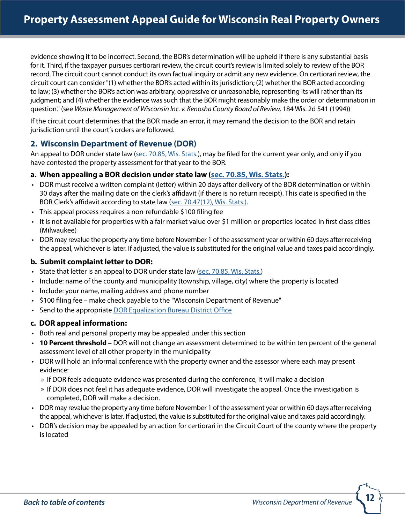evidence showing it to be incorrect. Second, the BOR's determination will be upheld if there is any substantial basis for it. Third, if the taxpayer pursues certiorari review, the circuit court's review is limited solely to review of the BOR record. The circuit court cannot conduct its own factual inquiry or admit any new evidence. On certiorari review, the circuit court can consider "(1) whether the BOR's acted within its jurisdiction; (2) whether the BOR acted according to law; (3) whether the BOR's action was arbitrary, oppressive or unreasonable, representing its will rather than its judgment; and (4) whether the evidence was such that the BOR might reasonably make the order or determination in question." (see *Waste Management of Wisconsin Inc. v. Kenosha County Board of Review,* 184 Wis. 2d 541 (1994))

If the circuit court determines that the BOR made an error, it may remand the decision to the BOR and retain jurisdiction until the court's orders are followed.

#### **2. Wisconsin Department of Revenue (DOR)**

An appeal to DOR under state law ([sec. 70.85, Wis. Stats.\)](http://docs.legis.wisconsin.gov/statutes/statutes/70/85), may be filed for the current year only, and only if you have contested the property assessment for that year to the BOR.

#### **a. When appealing a BOR decision under state law [\(sec. 70.85, Wis. Stats.](http://docs.legis.wisconsin.gov/statutes/statutes/70/85)):**

- DOR must receive a written complaint (letter) within 20 days after delivery of the BOR determination or within 30 days after the mailing date on the clerk's affidavit (if there is no return receipt). This date is specified in the BOR Clerk's affidavit according to state law ([sec. 70.47\(12\), Wis. Stats.\).](http://docs.legis.wisconsin.gov/statutes/statutes/70/47/12)
- This appeal process requires a non-refundable \$100 filing fee
- It is not available for properties with a fair market value over \$1 million or properties located in first class cities (Milwaukee)
- DOR may revalue the property any time before November 1 of the assessment year or within 60 days after receiving the appeal, whichever is later. If adjusted, the value is substituted for the original value and taxes paid accordingly.

#### **b. Submit complaint letter to DOR:**

- State that letter is an appeal to DOR under state law ([sec. 70.85, Wis. Stats.](http://docs.legis.wisconsin.gov/statutes/statutes/70/85))
- Include: name of the county and municipality (township, village, city) where the property is located
- Include: your name, mailing address and phone number
- \$100 filing fee make check payable to the "Wisconsin Department of Revenue"
- Send to the appropriate [DOR Equalization Bureau District Office](http://www.revenue.wi.gov/contact/slfboe.html)

#### **c. DOR appeal information:**

- Both real and personal property may be appealed under this section
- **10 Percent threshold** DOR will not change an assessment determined to be within ten percent of the general assessment level of all other property in the municipality
- DOR will hold an informal conference with the property owner and the assessor where each may present evidence:
	- » If DOR feels adequate evidence was presented during the conference, it will make a decision
	- » If DOR does not feel it has adequate evidence, DOR will investigate the appeal. Once the investigation is completed, DOR will make a decision.
- DOR may revalue the property any time before November 1 of the assessment year or within 60 days after receiving the appeal, whichever is later. If adjusted, the value is substituted for the original value and taxes paid accordingly.
- DOR's decision may be appealed by an action for certiorari in the Circuit Court of the county where the property is located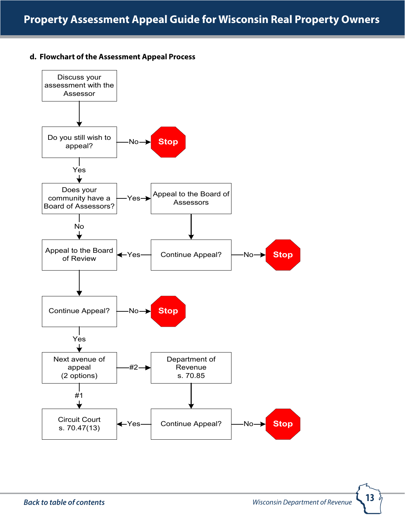#### **d. Flowchart of the Assessment Appeal Process**



è,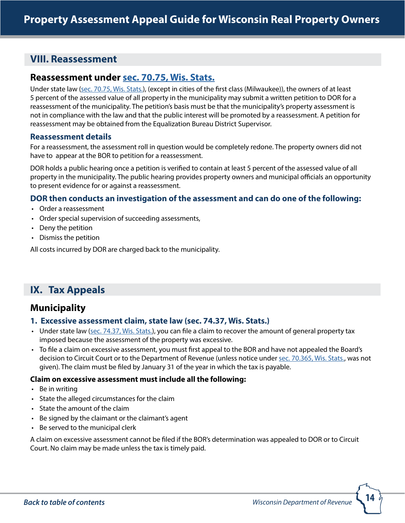# <span id="page-13-0"></span>**VIII. Reassessment**

### **Reassessment under [sec. 70.75, Wis. Stats.](http://docs.legis.wisconsin.gov/statutes/statutes/70/75)**

Under state law ([sec. 70.75, Wis. Stats.\)](http://docs.legis.wisconsin.gov/statutes/statutes/70/75), (except in cities of the first class (Milwaukee)), the owners of at least 5 percent of the assessed value of all property in the municipality may submit a written petition to DOR for a reassessment of the municipality. The petition's basis must be that the municipality's property assessment is not in compliance with the law and that the public interest will be promoted by a reassessment. A petition for reassessment may be obtained from the Equalization Bureau District Supervisor.

#### **Reassessment details**

For a reassessment, the assessment roll in question would be completely redone. The property owners did not have to appear at the BOR to petition for a reassessment.

DOR holds a public hearing once a petition is verified to contain at least 5 percent of the assessed value of all property in the municipality. The public hearing provides property owners and municipal officials an opportunity to present evidence for or against a reassessment.

#### **DOR then conducts an investigation of the assessment and can do one of the following:**

- Order a reassessment
- Order special supervision of succeeding assessments,
- Deny the petition
- Dismiss the petition

All costs incurred by DOR are charged back to the municipality.

# **IX. Tax Appeals**

# **Municipality**

#### **1. Excessive assessment claim, state law (sec. 74.37, Wis. Stats.)**

- Under state law ([sec. 74.37, Wis. Stats.\)](http://docs.legis.wisconsin.gov/statutes/statutes/74/V/37), you can file a claim to recover the amount of general property tax imposed because the assessment of the property was excessive.
- To file a claim on excessive assessment, you must first appeal to the BOR and have not appealed the Board's decision to Circuit Court or to the Department of Revenue (unless notice under [sec. 70.365, Wis. Stats.,](http://docs.legis.wisconsin.gov/statutes/statutes/70/365) was not given). The claim must be filed by January 31 of the year in which the tax is payable.

#### **Claim on excessive assessment must include all the following:**

- Be in writing
- State the alleged circumstances for the claim
- State the amount of the claim
- Be signed by the claimant or the claimant's agent
- Be served to the municipal clerk

A claim on excessive assessment cannot be filed if the BOR's determination was appealed to DOR or to Circuit Court. No claim may be made unless the tax is timely paid.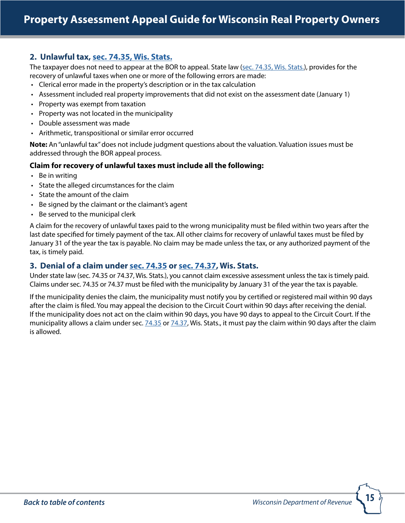#### **2. Unlawful tax, [sec. 74.35, Wis. Stats.](http://docs.legis.wisconsin.gov/statutes/statutes/74/V/35)**

The taxpayer does not need to appear at the BOR to appeal. State law [\(sec. 74.35, Wis. Stats.\)](http://docs.legis.wisconsin.gov/statutes/statutes/74/V/35), provides for the recovery of unlawful taxes when one or more of the following errors are made:

- Clerical error made in the property's description or in the tax calculation
- Assessment included real property improvements that did not exist on the assessment date (January 1)
- Property was exempt from taxation
- Property was not located in the municipality
- Double assessment was made
- Arithmetic, transpositional or similar error occurred

**Note:** An "unlawful tax" does not include judgment questions about the valuation. Valuation issues must be addressed through the BOR appeal process.

#### **Claim for recovery of unlawful taxes must include all the following:**

- Be in writing
- State the alleged circumstances for the claim
- State the amount of the claim
- Be signed by the claimant or the claimant's agent
- Be served to the municipal clerk

A claim for the recovery of unlawful taxes paid to the wrong municipality must be filed within two years after the last date specified for timely payment of the tax. All other claims for recovery of unlawful taxes must be filed by January 31 of the year the tax is payable. No claim may be made unless the tax, or any authorized payment of the tax, is timely paid.

#### **3. Denial of a claim under [sec. 74.35](http://docs.legis.wisconsin.gov/statutes/statutes/74/V/35) or [sec. 74.37,](http://docs.legis.wisconsin.gov/statutes/statutes/74/V/37) Wis. Stats.**

Under state law (sec. 74.35 or 74.37, Wis. Stats.), you cannot claim excessive assessment unless the tax is timely paid. Claims under sec. 74.35 or 74.37 must be filed with the municipality by January 31 of the year the tax is payable.

If the municipality denies the claim, the municipality must notify you by certified or registered mail within 90 days after the claim is filed. You may appeal the decision to the Circuit Court within 90 days after receiving the denial. If the municipality does not act on the claim within 90 days, you have 90 days to appeal to the Circuit Court. If the municipality allows a claim under sec. [74.35](http://docs.legis.wisconsin.gov/statutes/statutes/74/V/35) or [74.37](http://docs.legis.wisconsin.gov/statutes/statutes/74/V/37), Wis. Stats., it must pay the claim within 90 days after the claim is allowed.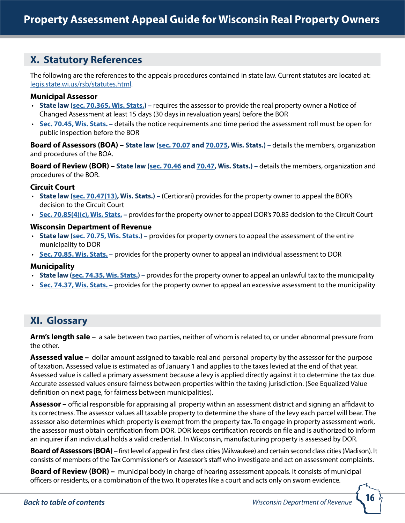# <span id="page-15-0"></span>**X. Statutory References**

The following are the references to the appeals procedures contained in state law. Current statutes are located at: [legis.state.wi.us/rsb/statutes.html.](http://docs.legis.wisconsin.gov/statutes/prefaces/toc)

#### **Municipal Assessor**

- **State law [\(sec. 70.365, Wis. Stats.](http://docs.legis.wisconsin.gov/statutes/statutes/70/365)) –** requires the assessor to provide the real property owner a Notice of Changed Assessment at least 15 days (30 days in revaluation years) before the BOR
- **[Sec. 70.45, Wis. Stats.](http://docs.legis.wisconsin.gov/statutes/statutes/70/45) –** details the notice requirements and time period the assessment roll must be open for public inspection before the BOR

**Board of Assessors (BOA) – State law (s[ec. 70.07](http://docs.legis.wisconsin.gov/statutes/statutes/70/07) and [70.075](http://docs.legis.wisconsin.gov/statutes/statutes/70/075), Wis. Stats.) –** details the members, organization and procedures of the BOA.

**Board of Review (BOR) – State law [\(sec. 70.46](http://docs.legis.wisconsin.gov/statutes/statutes/70/46) and [70.47,](http://docs.legis.wisconsin.gov/statutes/statutes/70/47) Wis. Stats.) –** details the members, organization and procedures of the BOR.

#### **Circuit Court**

- **State law [\(sec. 70.47\(13\)](http://docs.legis.wisconsin.gov/statutes/statutes/70/47/13), Wis. Stats.)** (Certiorari) provides for the property owner to appeal the BOR's decision to the Circuit Court
- **[Sec. 70.85\(4\)\(c\), Wis. Stats.](http://docs.legis.wisconsin.gov/statutes/statutes/70/85/4/c)** provides for the property owner to appeal DOR's 70.85 decision to the Circuit Court

#### **Wisconsin Department of Revenue**

- **State law [\(sec. 70.75, Wis. Stats.](http://docs.legis.wisconsin.gov/statutes/statutes/70/75)) –** provides for property owners to appeal the assessment of the entire municipality to DOR
- **[Sec. 70.85. Wis. Stats.](http://docs.legis.wisconsin.gov/statutes/statutes/70/75) –** provides for the property owner to appeal an individual assessment to DOR

#### **Municipality**

- **State law [\(sec. 74.35, Wis. Stats.](http://docs.legis.wisconsin.gov/statutes/statutes/74/V/35)) –** provides for the property owner to appeal an unlawful tax to the municipality
- **[Sec. 74.37, Wis. Stats.](http://docs.legis.wisconsin.gov/statutes/statutes/74/V/37)** provides for the property owner to appeal an excessive assessment to the municipality

# **XI. Glossary**

**Arm's length sale –** a sale between two parties, neither of whom is related to, or under abnormal pressure from the other.

**Assessed value –** dollar amount assigned to taxable real and personal property by the assessor for the purpose of taxation. Assessed value is estimated as of January 1 and applies to the taxes levied at the end of that year. Assessed value is called a primary assessment because a levy is applied directly against it to determine the tax due. Accurate assessed values ensure fairness between properties within the taxing jurisdiction. (See Equalized Value definition on next page, for fairness between municipalities).

**Assessor –** official responsible for appraising all property within an assessment district and signing an affidavit to its correctness. The assessor values all taxable property to determine the share of the levy each parcel will bear. The assessor also determines which property is exempt from the property tax. To engage in property assessment work, the assessor must obtain certification from DOR. DOR keeps certification records on file and is authorized to inform an inquirer if an individual holds a valid credential. In Wisconsin, manufacturing property is assessed by DOR.

**Board of Assessors (BOA)** – first level of appeal in first class cities (Milwaukee) and certain second class cities (Madison). It consists of members of the Tax Commissioner's or Assessor's staff who investigate and act on assessment complaints.

**Board of Review (BOR) –** municipal body in charge of hearing assessment appeals. It consists of municipal officers or residents, or a combination of the two. It operates like a court and acts only on sworn evidence.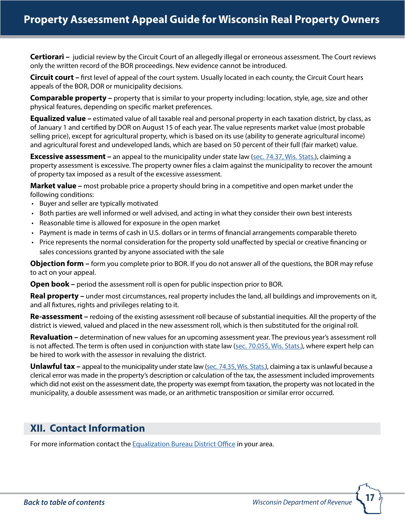<span id="page-16-0"></span>**Certiorari –** judicial review by the Circuit Court of an allegedly illegal or erroneous assessment. The Court reviews only the written record of the BOR proceedings. New evidence cannot be introduced.

**Circuit court –** first level of appeal of the court system. Usually located in each county, the Circuit Court hears appeals of the BOR, DOR or municipality decisions.

**Comparable property –** property that is similar to your property including: location, style, age, size and other physical features, depending on specific market preferences.

**Equalized value –** estimated value of all taxable real and personal property in each taxation district, by class, as of January 1 and certified by DOR on August 15 of each year. The value represents market value (most probable selling price), except for agricultural property, which is based on its use (ability to generate agricultural income) and agricultural forest and undeveloped lands, which are based on 50 percent of their full (fair market) value.

**Excessive assessment** – an appeal to the municipality under state law ([sec. 74.37, Wis. Stats.](http://docs.legis.wisconsin.gov/statutes/statutes/74/V/37)), claiming a property assessment is excessive. The property owner files a claim against the municipality to recover the amount of property tax imposed as a result of the excessive assessment.

**Market value –** most probable price a property should bring in a competitive and open market under the following conditions:

- Buyer and seller are typically motivated
- Both parties are well informed or well advised, and acting in what they consider their own best interests
- Reasonable time is allowed for exposure in the open market
- Payment is made in terms of cash in U.S. dollars or in terms of financial arrangements comparable thereto
- Price represents the normal consideration for the property sold unaffected by special or creative financing or sales concessions granted by anyone associated with the sale

**Objection form –** form you complete prior to BOR. If you do not answer all of the questions, the BOR may refuse to act on your appeal.

**Open book** – period the assessment roll is open for public inspection prior to BOR.

**Real property –** under most circumstances, real property includes the land, all buildings and improvements on it, and all fixtures, rights and privileges relating to it.

**Re-assessment –** redoing of the existing assessment roll because of substantial inequities. All the property of the district is viewed, valued and placed in the new assessment roll, which is then substituted for the original roll.

**Revaluation –** determination of new values for an upcoming assessment year. The previous year's assessment roll is not affected. The term is often used in conjunction with state law [\(sec. 70.055, Wis. Stats.](http://docs.legis.wisconsin.gov/statutes/statutes/70/055)), where expert help can be hired to work with the assessor in revaluing the district.

**Unlawful tax –** appeal to the municipality under state law [\(sec. 74.35, Wis. Stats.](http://docs.legis.wisconsin.gov/statutes/statutes/74/V/35)), claiming a tax is unlawful because a clerical error was made in the property's description or calculation of the tax, the assessment included improvements which did not exist on the assessment date, the property was exempt from taxation, the property was not located in the municipality, a double assessment was made, or an arithmetic transposition or similar error occurred.

# **XII. Contact Information**

For more information contact the [Equalization Bureau District Office](http://www.revenue.wi.gov/contact/slfboe.html) in your area.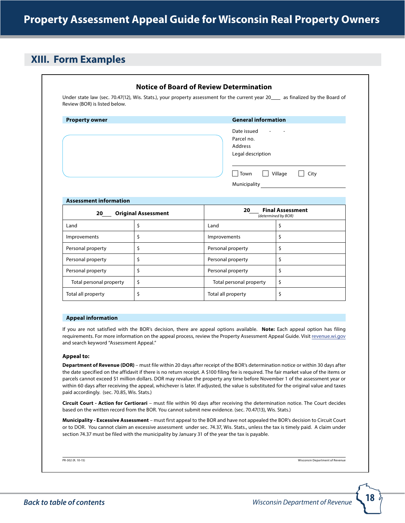# <span id="page-17-0"></span>**XIII. Form Examples**

| <b>Property owner</b>               |                            | <b>General information</b>                                                                           |                                                |  |  |  |  |
|-------------------------------------|----------------------------|------------------------------------------------------------------------------------------------------|------------------------------------------------|--|--|--|--|
|                                     |                            | Date issued<br>Parcel no.<br>Address<br>Legal description<br>$\Box$<br>  Town<br><b>Municipality</b> | Village<br>City<br>$\Box$                      |  |  |  |  |
| <b>Assessment information</b><br>20 | <b>Original Assessment</b> | 20                                                                                                   | <b>Final Assessment</b><br>(determined by BOR) |  |  |  |  |
| Land                                | \$                         | Land                                                                                                 | \$                                             |  |  |  |  |
| Improvements                        | \$                         | Improvements                                                                                         | \$                                             |  |  |  |  |
|                                     | \$                         | Personal property                                                                                    | \$                                             |  |  |  |  |
| Personal property                   |                            | Personal property                                                                                    | \$                                             |  |  |  |  |
| Personal property                   | \$                         |                                                                                                      |                                                |  |  |  |  |
| Personal property                   | \$                         | Personal property                                                                                    | \$                                             |  |  |  |  |
| Total personal property             | \$                         | Total personal property                                                                              | \$                                             |  |  |  |  |

#### **Appeal to:**

and search keyword "Assessment Appeal."

**Department of Revenue (DOR)** – must file within 20 days after receipt of the BOR's determination notice or within 30 days after the date specified on the affidavit if there is no return receipt. A \$100 filing fee is required. The fair market value of the items or parcels cannot exceed \$1 million dollars. DOR may revalue the property any time before November 1 of the assessment year or within 60 days after receiving the appeal, whichever is later. If adjusted, the value is substituted for the original value and taxes paid accordingly. (sec. 70.85, Wis. Stats.)

requirements. For more information on the appeal process, review the Property Assessment Appeal Guide. Visit revenue.wi.gov

**Circuit Court - Action for Certiorari** – must file within 90 days after receiving the determination notice. The Court decides based on the written record from the BOR. You cannot submit new evidence. (sec. 70.47(13), Wis. Stats.)

**Municipality - Excessive Assessment** – must first appeal to the BOR and have not appealed the BOR's decision to Circuit Court or to DOR. You cannot claim an excessive assessment under sec. 74.37, Wis. Stats., unless the tax is timely paid. A claim under section 74.37 must be filed with the municipality by January 31 of the year the tax is payable.

PR-302 (R. 10-15) Wisconsin Department of Revenue